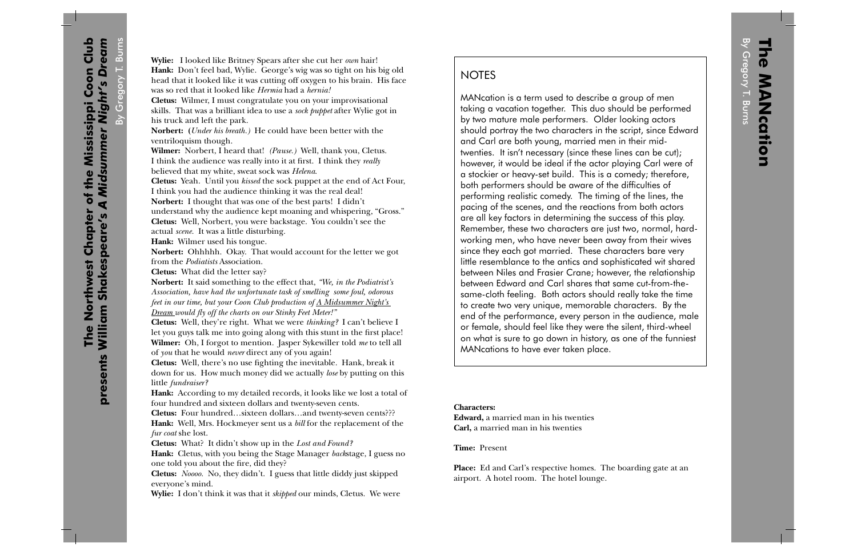MANcation is a term used to describe a group of men taking a vacation together. This duo should be performed by two mature male performers. Older looking actors should portray the two characters in the script, since Edward and Carl are both young, married men in their midtwenties. It isn't necessary (since these lines can be cut); however, it would be ideal if the actor playing Carl were of a stockier or heavy-set build. This is a comedy; therefore, both performers should be aware of the difficulties of performing realistic comedy. The timing of the lines, the pacing of the scenes, and the reactions from both actors are all key factors in determining the success of this play. Remember, these two characters are just two, normal, hardworking men, who have never been away from their wives since they each got married. These characters bare very little resemblance to the antics and sophisticated wit shared between Niles and Frasier Crane; however, the relationship between Edward and Carl shares that same cut-from-thesame-cloth feeling. Both actors should really take the time to create two very unique, memorable characters. By the end of the performance, every person in the audience, male or female, should feel like they were the silent, third-wheel on what is sure to go down in history, as one of the funniest MANcations to have ever taken place.

**Characters:Edward,** a married man in his twenties **Carl,** a married man in his twenties

**Time:** Present

**Place:** Ed and Carl's respective homes. The boarding gate at an airport. A hotel room. The hotel lounge.